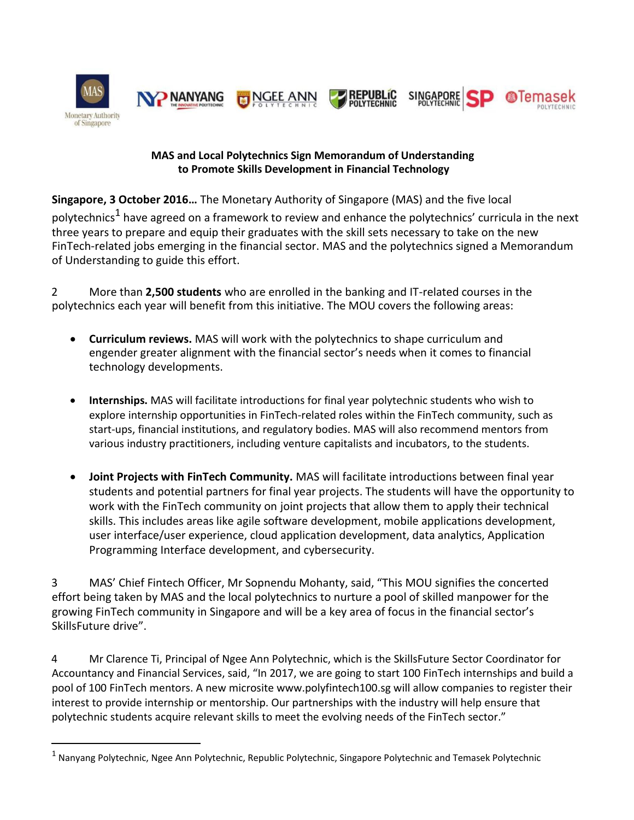

# **MAS and Local Polytechnics Sign Memorandum of Understanding to Promote Skills Development in Financial Technology**

**Singapore, 3 October 2016…** The Monetary Authority of Singapore (MAS) and the five local polytechnics<sup>1</sup> have agreed on a framework to review and enhance the polytechnics' curricula in the next three years to prepare and equip their graduates with the skill sets necessary to take on the new FinTech-related jobs emerging in the financial sector. MAS and the polytechnics signed a Memorandum of Understanding to guide this effort.

2 More than **2,500 students** who are enrolled in the banking and IT-related courses in the polytechnics each year will benefit from this initiative. The MOU covers the following areas:

- **Curriculum reviews.** MAS will work with the polytechnics to shape curriculum and engender greater alignment with the financial sector's needs when it comes to financial technology developments.
- **Internships.** MAS will facilitate introductions for final year polytechnic students who wish to explore internship opportunities in FinTech-related roles within the FinTech community, such as start-ups, financial institutions, and regulatory bodies. MAS will also recommend mentors from various industry practitioners, including venture capitalists and incubators, to the students.
- **Joint Projects with FinTech Community.** MAS will facilitate introductions between final year students and potential partners for final year projects. The students will have the opportunity to work with the FinTech community on joint projects that allow them to apply their technical skills. This includes areas like agile software development, mobile applications development, user interface/user experience, cloud application development, data analytics, Application Programming Interface development, and cybersecurity.

3 MAS' Chief Fintech Officer, Mr Sopnendu Mohanty, said, "This MOU signifies the concerted effort being taken by MAS and the local polytechnics to nurture a pool of skilled manpower for the growing FinTech community in Singapore and will be a key area of focus in the financial sector's SkillsFuture drive".

4 Mr Clarence Ti, Principal of Ngee Ann Polytechnic, which is the SkillsFuture Sector Coordinator for Accountancy and Financial Services, said, "In 2017, we are going to start 100 FinTech internships and build a pool of 100 FinTech mentors. A new microsite www.polyfintech100.sg will allow companies to register their interest to provide internship or mentorship. Our partnerships with the industry will help ensure that polytechnic students acquire relevant skills to meet the evolving needs of the FinTech sector."

<sup>&</sup>lt;sup>1</sup> Nanyang Polytechnic, Ngee Ann Polytechnic, Republic Polytechnic, Singapore Polytechnic and Temasek Polytechnic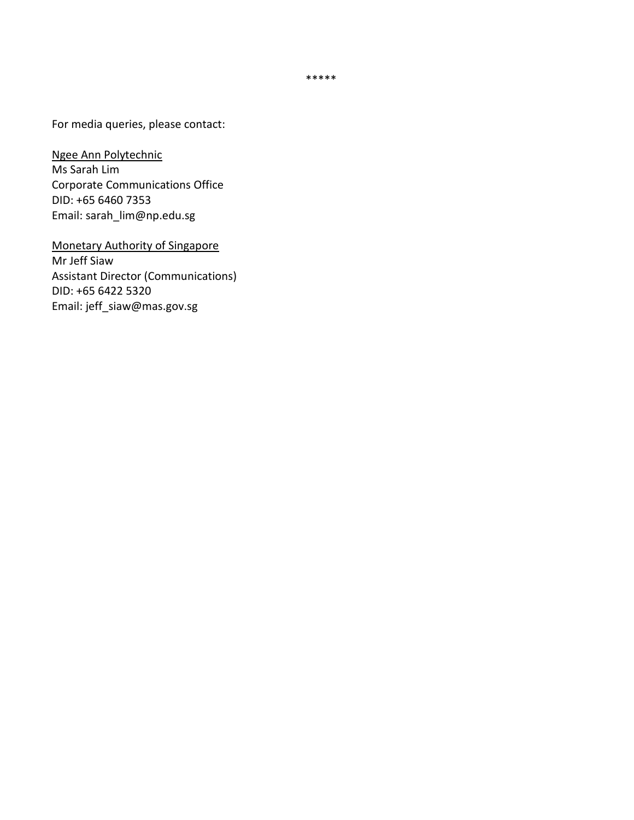\*\*\*\*\*

For media queries, please contact:

Ngee Ann Polytechnic Ms Sarah Lim Corporate Communications Office DID: +65 6460 7353 Email: sarah\_lim@np.edu.sg

Monetary Authority of Singapore Mr Jeff Siaw Assistant Director (Communications) DID: +65 6422 5320 Email: jeff\_siaw@mas.gov.sg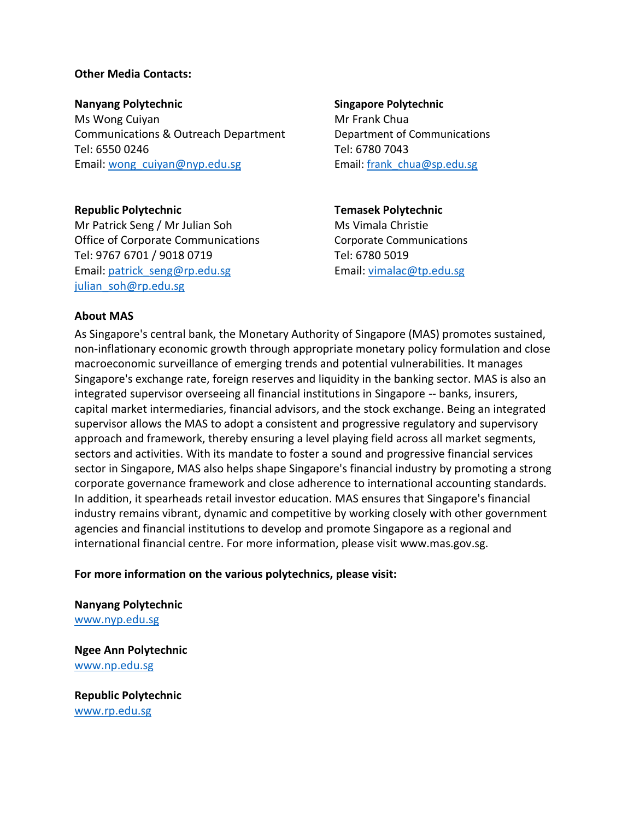## **Other Media Contacts:**

**Nanyang Polytechnic Singapore Polytechnic** Ms Wong Cuiyan Mr Frank Chua Communications & Outreach Department Department of Communications Tel: 6550 0246 Tel: 6780 7043 Email: wong cuiyan@nyp.edu.sg Email: frank chua@sp.edu.sg

**Republic Polytechnic Temasek Polytechnic** Mr Patrick Seng / Mr Julian Soh Ms Vimala Christie Office of Corporate Communications Corporate Communications Tel: 9767 6701 / 9018 0719 Tel: 6780 5019 Email: [patrick\\_seng@rp.edu.sg](mailto:patrick_seng@rp.edu.sg) Email[: vimalac@tp.edu.sg](mailto:vimalac@tp.edu.sg) [julian\\_soh@rp.edu.sg](mailto:julian_soh@rp.edu.sg)

### **About MAS**

As Singapore's central bank, the Monetary Authority of Singapore (MAS) promotes sustained, non-inflationary economic growth through appropriate monetary policy formulation and close macroeconomic surveillance of emerging trends and potential vulnerabilities. It manages Singapore's exchange rate, foreign reserves and liquidity in the banking sector. MAS is also an integrated supervisor overseeing all financial institutions in Singapore -- banks, insurers, capital market intermediaries, financial advisors, and the stock exchange. Being an integrated supervisor allows the MAS to adopt a consistent and progressive regulatory and supervisory approach and framework, thereby ensuring a level playing field across all market segments, sectors and activities. With its mandate to foster a sound and progressive financial services sector in Singapore, MAS also helps shape Singapore's financial industry by promoting a strong corporate governance framework and close adherence to international accounting standards. In addition, it spearheads retail investor education. MAS ensures that Singapore's financial industry remains vibrant, dynamic and competitive by working closely with other government agencies and financial institutions to develop and promote Singapore as a regional and international financial centre. For more information, please visit www.mas.gov.sg.

### **For more information on the various polytechnics, please visit:**

**Nanyang Polytechnic** [www.nyp.edu.sg](http://www.nyp.edu.sg/)

**Ngee Ann Polytechnic** [www.np.edu.sg](http://www.np.edu.sg/)

**Republic Polytechnic** [www.rp.edu.sg](http://www.rp.edu.sg/)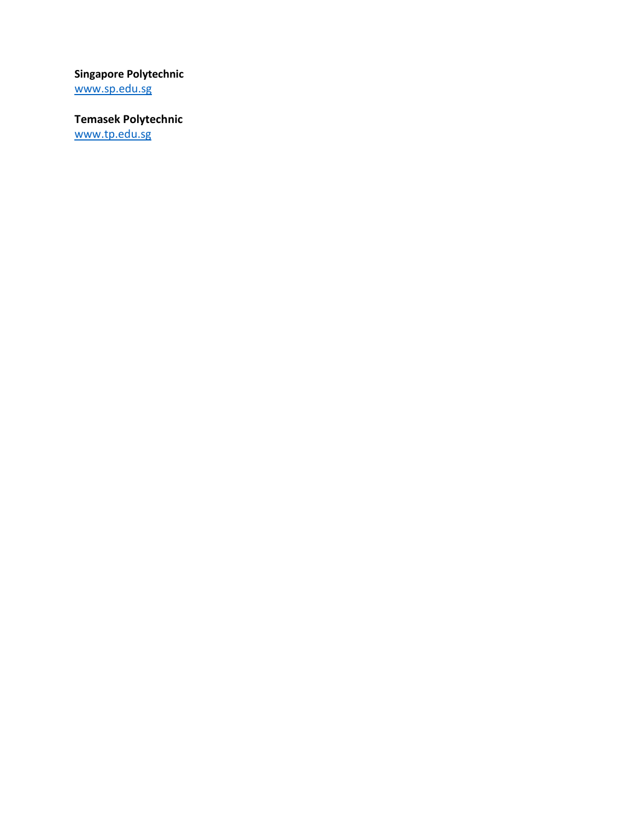**Singapore Polytechnic**

[www.sp.edu.sg](http://www.sp.edu.sg/)

**Temasek Polytechnic** [www.tp.edu.sg](http://www.tp.edu.sg/)